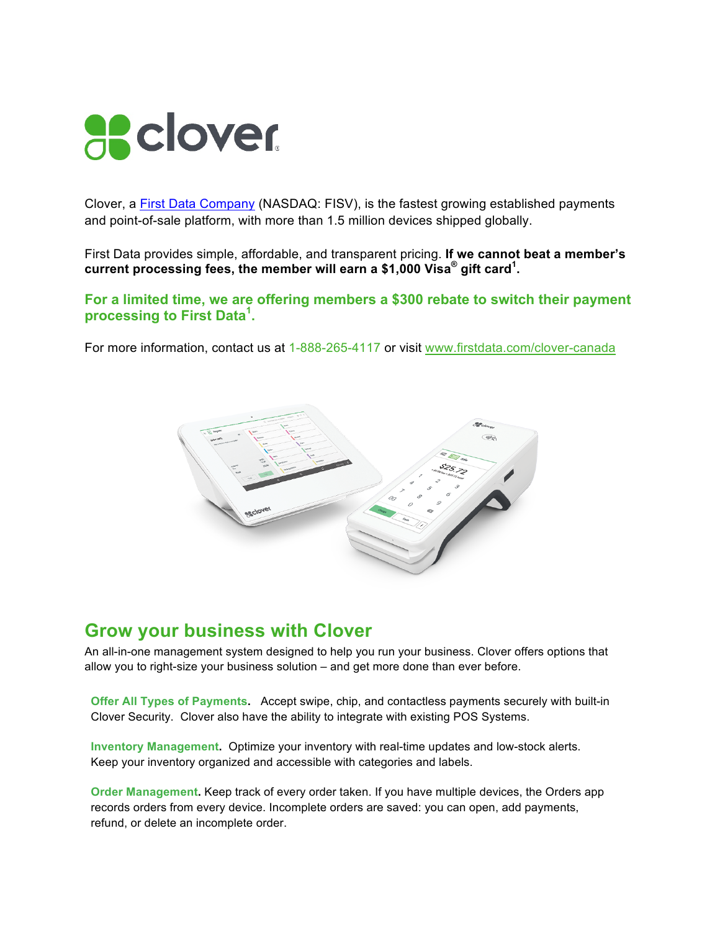

Clover, a First Data Company (NASDAQ: FISV), is the fastest growing established payments and point-of-sale platform, with more than 1.5 million devices shipped globally.

First Data provides simple, affordable, and transparent pricing. **If we cannot beat a member's current processing fees, the member will earn a \$1,000 Visa® gift card<sup>1</sup> .** 

## **For a limited time, we are offering members a \$300 rebate to switch their payment processing to First Data<sup>1</sup> .**

For more information, contact us at 1-888-265-4117 or visit www.firstdata.com/clover-canada



## **Grow your business with Clover**

An all-in-one management system designed to help you run your business. Clover offers options that allow you to right-size your business solution – and get more done than ever before.

**Offer All Types of Payments.** Accept swipe, chip, and contactless payments securely with built-in Clover Security. Clover also have the ability to integrate with existing POS Systems.

**Inventory Management.** Optimize your inventory with real-time updates and low-stock alerts. Keep your inventory organized and accessible with categories and labels.

**Order Management.** Keep track of every order taken. If you have multiple devices, the Orders app records orders from every device. Incomplete orders are saved: you can open, add payments, refund, or delete an incomplete order.